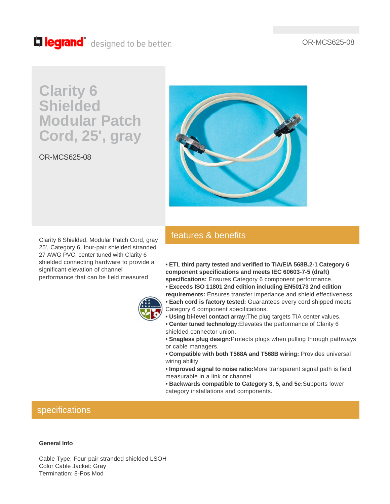#### OR-MCS625-08

## Lillegrand<sup>®</sup> designed to be better.

# **Clarity 6 Shielded Modular Patch Cord, 25', gray**

OR-MCS625-08



Clarity 6 Shielded, Modular Patch Cord, gray 25', Category 6, four-pair shielded stranded 27 AWG PVC, center tuned with Clarity 6 shielded connecting hardware to provide a significant elevation of channel performance that can be field measured



## features & benefits

**• ETL third party tested and verified to TIA/EIA 568B.2-1 Category 6 component specifications and meets IEC 60603-7-5 (draft) specifications:** Ensures Category 6 component performance.

- **Exceeds ISO 11801 2nd edition including EN50173 2nd edition requirements:** Ensures transfer impedance and shield effectiveness.
- **Each cord is factory tested:** Guarantees every cord shipped meets Category 6 component specifications.
- **Using bi-level contact array:**The plug targets TIA center values. **• Center tuned technology:**Elevates the performance of Clarity 6 shielded connector union.
- **Snagless plug design:**Protects plugs when pulling through pathways or cable managers.
- **Compatible with both T568A and T568B wiring:** Provides universal wiring ability.
- **Improved signal to noise ratio:**More transparent signal path is field measurable in a link or channel.
- **Backwards compatible to Category 3, 5, and 5e:**Supports lower category installations and components.

### specifications

#### **General Info**

Cable Type: Four-pair stranded shielded LSOH Color Cable Jacket: Gray Termination: 8-Pos Mod